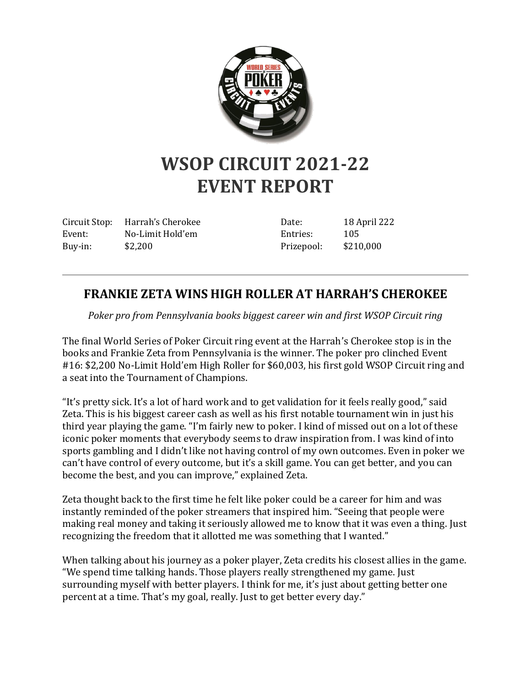

## **WSOP CIRCUIT 2021-22 EVENT REPORT**

Circuit Stop: Harrah's Cherokee Event: No-Limit Hold'em Buy-in: \$2,200

Date: 18 April 222 Entries: 105 Prizepool: \$210,000

## **FRANKIE ZETA WINS HIGH ROLLER AT HARRAH'S CHEROKEE**

*Poker pro from Pennsylvania books biggest career win and first WSOP Circuit ring*

The final World Series of Poker Circuit ring event at the Harrah's Cherokee stop is in the books and Frankie Zeta from Pennsylvania is the winner. The poker pro clinched Event #16: \$2,200 No-Limit Hold'em High Roller for \$60,003, his first gold WSOP Circuit ring and a seat into the Tournament of Champions.

"It's pretty sick. It's a lot of hard work and to get validation for it feels really good," said Zeta. This is his biggest career cash as well as his first notable tournament win in just his third year playing the game. "I'm fairly new to poker. I kind of missed out on a lot of these iconic poker moments that everybody seems to draw inspiration from. I was kind of into sports gambling and I didn't like not having control of my own outcomes. Even in poker we can't have control of every outcome, but it's a skill game. You can get better, and you can become the best, and you can improve," explained Zeta.

Zeta thought back to the first time he felt like poker could be a career for him and was instantly reminded of the poker streamers that inspired him. "Seeing that people were making real money and taking it seriously allowed me to know that it was even a thing. Just recognizing the freedom that it allotted me was something that I wanted."

When talking about his journey as a poker player, Zeta credits his closest allies in the game. "We spend time talking hands. Those players really strengthened my game. Just surrounding myself with better players. I think for me, it's just about getting better one percent at a time. That's my goal, really. Just to get better every day."